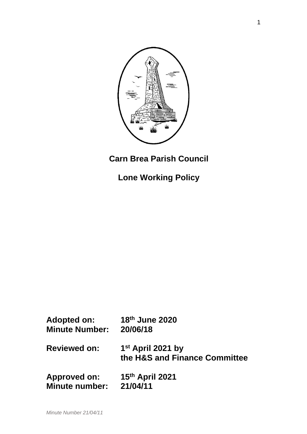

# **Carn Brea Parish Council**

**Lone Working Policy**

| <b>Adopted on:</b>    | 18th June 2020                                                 |
|-----------------------|----------------------------------------------------------------|
| <b>Minute Number:</b> | 20/06/18                                                       |
| <b>Reviewed on:</b>   | 1 <sup>st</sup> April 2021 by<br>the H&S and Finance Committee |
| <b>Approved on:</b>   | 15th April 2021                                                |
| <b>Minute number:</b> | 21/04/11                                                       |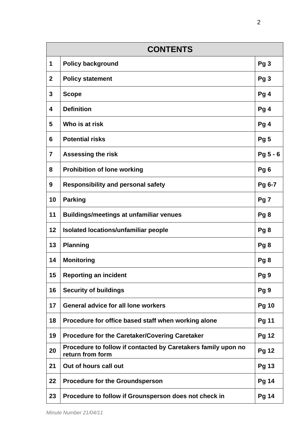| <b>CONTENTS</b> |                                                                                   |                 |
|-----------------|-----------------------------------------------------------------------------------|-----------------|
| 1               | <b>Policy background</b>                                                          | Pg <sub>3</sub> |
| $\mathbf{2}$    | <b>Policy statement</b>                                                           | Pg <sub>3</sub> |
| 3               | <b>Scope</b>                                                                      | Pg 4            |
| 4               | <b>Definition</b>                                                                 | Pg 4            |
| 5               | Who is at risk                                                                    | Pg 4            |
| 6               | <b>Potential risks</b>                                                            | Pg <sub>5</sub> |
| $\overline{7}$  | <b>Assessing the risk</b>                                                         | Pg 5 - 6        |
| 8               | <b>Prohibition of lone working</b>                                                | Pg <sub>6</sub> |
| 9               | <b>Responsibility and personal safety</b>                                         | Pg 6-7          |
| 10              | <b>Parking</b>                                                                    | Pg <sub>7</sub> |
| 11              | <b>Buildings/meetings at unfamiliar venues</b>                                    | Pg <sub>8</sub> |
| 12              | <b>Isolated locations/unfamiliar people</b>                                       | Pg <sub>8</sub> |
| 13              | <b>Planning</b>                                                                   | Pg <sub>8</sub> |
| 14              | <b>Monitoring</b>                                                                 | Pg8             |
| 15              | <b>Reporting an incident</b>                                                      | Pg <sub>9</sub> |
| 16              | <b>Security of buildings</b>                                                      | Pg <sub>9</sub> |
| 17              | <b>General advice for all lone workers</b>                                        | <b>Pg 10</b>    |
| 18              | Procedure for office based staff when working alone                               | <b>Pg 11</b>    |
| 19              | <b>Procedure for the Caretaker/Covering Caretaker</b>                             | <b>Pg 12</b>    |
| 20              | Procedure to follow if contacted by Caretakers family upon no<br>return from form | <b>Pg 12</b>    |
| 21              | Out of hours call out                                                             | <b>Pg 13</b>    |
| 22              | <b>Procedure for the Groundsperson</b>                                            | <b>Pg 14</b>    |
| 23              | Procedure to follow if Grounsperson does not check in                             | <b>Pg 14</b>    |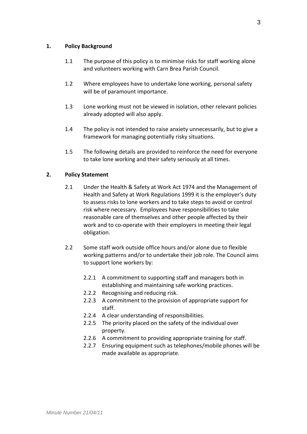# **1. Policy Background**

- 1.1 The purpose of this policy is to minimise risks for staff working alone and volunteers working with Carn Brea Parish Council.
- 1.2 Where employees have to undertake lone working, personal safety will be of paramount importance.
- 1.3 Lone working must not be viewed in isolation, other relevant policies already adopted will also apply.
- 1.4 The policy is not intended to raise anxiety unnecessarily, but to give a framework for managing potentially risky situations.
- 1.5 The following details are provided to reinforce the need for everyone to take lone working and their safety seriously at all times.

# **2. Policy Statement**

- 2.1 Under the Health & Safety at Work Act 1974 and the Management of Health and Safety at Work Regulations 1999 it is the employer's duty to assess risks to lone workers and to take steps to avoid or control risk where necessary. Employees have responsibilities to take reasonable care of themselves and other people affected by their work and to co-operate with their employers in meeting their legal obligation.
- 2.2 Some staff work outside office hours and/or alone due to flexible working patterns and/or to undertake their job role. The Council aims to support lone workers by:
	- 2.2.1 A commitment to supporting staff and managers both in establishing and maintaining safe working practices.
	- 2.2.2 Recognising and reducing risk.
	- 2.2.3 A commitment to the provision of appropriate support for staff.
	- 2.2.4 A clear understanding of responsibilities.
	- 2.2.5 The priority placed on the safety of the individual over property.
	- 2.2.6 A commitment to providing appropriate training for staff.
	- 2.2.7 Ensuring equipment such as telephones/mobile phones will be made available as appropriate.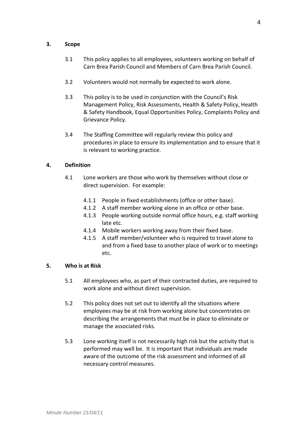# **3. Scope**

- 3.1 This policy applies to all employees, volunteers working on behalf of Carn Brea Parish Council and Members of Carn Brea Parish Council.
- 3.2 Volunteers would not normally be expected to work alone.
- 3.3 This policy is to be used in conjunction with the Council's Risk Management Policy, Risk Assessments, Health & Safety Policy, Health & Safety Handbook, Equal Opportunities Policy, Complaints Policy and Grievance Policy.
- 3.4 The Staffing Committee will regularly review this policy and procedures in place to ensure its implementation and to ensure that it is relevant to working practice.

# **4. Definition**

- 4.1 Lone workers are those who work by themselves without close or direct supervision. For example:
	- 4.1.1 People in fixed establishments (office or other base).
	- 4.1.2 A staff member working alone in an office or other base.
	- 4.1.3 People working outside normal office hours, e.g. staff working late etc.
	- 4.1.4 Mobile workers working away from their fixed base.
	- 4.1.5 A staff member/volunteer who is required to travel alone to and from a fixed base to another place of work or to meetings etc.

## **5. Who is at Risk**

- 5.1 All employees who, as part of their contracted duties, are required to work alone and without direct supervision.
- 5.2 This policy does not set out to identify all the situations where employees may be at risk from working alone but concentrates on describing the arrangements that must be in place to eliminate or manage the associated risks.
- 5.3 Lone working itself is not necessarily high risk but the activity that is performed may well be. It is important that individuals are made aware of the outcome of the risk assessment and informed of all necessary control measures.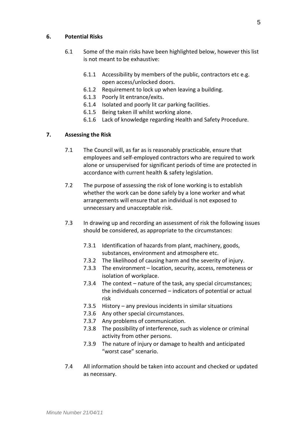# **6. Potential Risks**

- 6.1 Some of the main risks have been highlighted below, however this list is not meant to be exhaustive:
	- 6.1.1 Accessibility by members of the public, contractors etc e.g. open access/unlocked doors.
	- 6.1.2 Requirement to lock up when leaving a building.
	- 6.1.3 Poorly lit entrance/exits.
	- 6.1.4 Isolated and poorly lit car parking facilities.
	- 6.1.5 Being taken ill whilst working alone.
	- 6.1.6 Lack of knowledge regarding Health and Safety Procedure.

# **7. Assessing the Risk**

- 7.1 The Council will, as far as is reasonably practicable, ensure that employees and self-employed contractors who are required to work alone or unsupervised for significant periods of time are protected in accordance with current health & safety legislation.
- 7.2 The purpose of assessing the risk of lone working is to establish whether the work can be done safely by a lone worker and what arrangements will ensure that an individual is not exposed to unnecessary and unacceptable risk.
- 7.3 In drawing up and recording an assessment of risk the following issues should be considered, as appropriate to the circumstances:
	- 7.3.1 Identification of hazards from plant, machinery, goods, substances, environment and atmosphere etc.
	- 7.3.2 The likelihood of causing harm and the severity of injury.
	- 7.3.3 The environment location, security, access, remoteness or isolation of workplace.
	- 7.3.4 The context nature of the task, any special circumstances; the individuals concerned – indicators of potential or actual risk
	- 7.3.5 History any previous incidents in similar situations
	- 7.3.6 Any other special circumstances.
	- 7.3.7 Any problems of communication.
	- 7.3.8 The possibility of interference, such as violence or criminal activity from other persons.
	- 7.3.9 The nature of injury or damage to health and anticipated "worst case" scenario.
- 7.4 All information should be taken into account and checked or updated as necessary.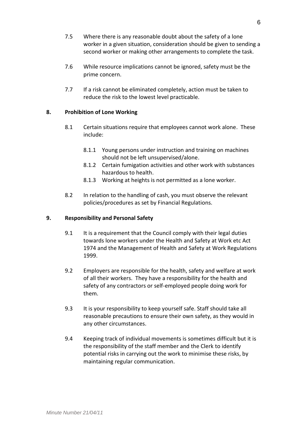- 7.5 Where there is any reasonable doubt about the safety of a lone worker in a given situation, consideration should be given to sending a second worker or making other arrangements to complete the task.
- 7.6 While resource implications cannot be ignored, safety must be the prime concern.
- 7.7 If a risk cannot be eliminated completely, action must be taken to reduce the risk to the lowest level practicable.

# **8. Prohibition of Lone Working**

- 8.1 Certain situations require that employees cannot work alone. These include:
	- 8.1.1 Young persons under instruction and training on machines should not be left unsupervised/alone.
	- 8.1.2 Certain fumigation activities and other work with substances hazardous to health.
	- 8.1.3 Working at heights is not permitted as a lone worker.
- 8.2 In relation to the handling of cash, you must observe the relevant policies/procedures as set by Financial Regulations.

## **9. Responsibility and Personal Safety**

- 9.1 It is a requirement that the Council comply with their legal duties towards lone workers under the Health and Safety at Work etc Act 1974 and the Management of Health and Safety at Work Regulations 1999.
- 9.2 Employers are responsible for the health, safety and welfare at work of all their workers. They have a responsibility for the health and safety of any contractors or self-employed people doing work for them.
- 9.3 It is your responsibility to keep yourself safe. Staff should take all reasonable precautions to ensure their own safety, as they would in any other circumstances.
- 9.4 Keeping track of individual movements is sometimes difficult but it is the responsibility of the staff member and the Clerk to identify potential risks in carrying out the work to minimise these risks, by maintaining regular communication.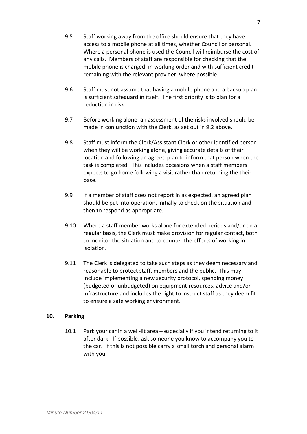- 9.5 Staff working away from the office should ensure that they have access to a mobile phone at all times, whether Council or personal. Where a personal phone is used the Council will reimburse the cost of any calls. Members of staff are responsible for checking that the mobile phone is charged, in working order and with sufficient credit remaining with the relevant provider, where possible.
- 9.6 Staff must not assume that having a mobile phone and a backup plan is sufficient safeguard in itself. The first priority is to plan for a reduction in risk.
- 9.7 Before working alone, an assessment of the risks involved should be made in conjunction with the Clerk, as set out in 9.2 above.
- 9.8 Staff must inform the Clerk/Assistant Clerk or other identified person when they will be working alone, giving accurate details of their location and following an agreed plan to inform that person when the task is completed. This includes occasions when a staff members expects to go home following a visit rather than returning the their base.
- 9.9 If a member of staff does not report in as expected, an agreed plan should be put into operation, initially to check on the situation and then to respond as appropriate.
- 9.10 Where a staff member works alone for extended periods and/or on a regular basis, the Clerk must make provision for regular contact, both to monitor the situation and to counter the effects of working in isolation.
- 9.11 The Clerk is delegated to take such steps as they deem necessary and reasonable to protect staff, members and the public. This may include implementing a new security protocol, spending money (budgeted or unbudgeted) on equipment resources, advice and/or infrastructure and includes the right to instruct staff as they deem fit to ensure a safe working environment.

## **10. Parking**

10.1 Park your car in a well-lit area – especially if you intend returning to it after dark. If possible, ask someone you know to accompany you to the car. If this is not possible carry a small torch and personal alarm with you.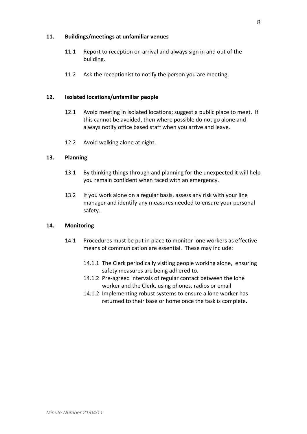## **11. Buildings/meetings at unfamiliar venues**

- 11.1 Report to reception on arrival and always sign in and out of the building.
- 11.2 Ask the receptionist to notify the person you are meeting.

## **12. Isolated locations/unfamiliar people**

- 12.1 Avoid meeting in isolated locations; suggest a public place to meet. If this cannot be avoided, then where possible do not go alone and always notify office based staff when you arrive and leave.
- 12.2 Avoid walking alone at night.

#### **13. Planning**

- 13.1 By thinking things through and planning for the unexpected it will help you remain confident when faced with an emergency.
- 13.2 If you work alone on a regular basis, assess any risk with your line manager and identify any measures needed to ensure your personal safety.

## **14. Monitoring**

- 14.1 Procedures must be put in place to monitor lone workers as effective means of communication are essential. These may include:
	- 14.1.1 The Clerk periodically visiting people working alone, ensuring safety measures are being adhered to.
	- 14.1.2 Pre-agreed intervals of regular contact between the lone worker and the Clerk, using phones, radios or email
	- 14.1.2 Implementing robust systems to ensure a lone worker has returned to their base or home once the task is complete.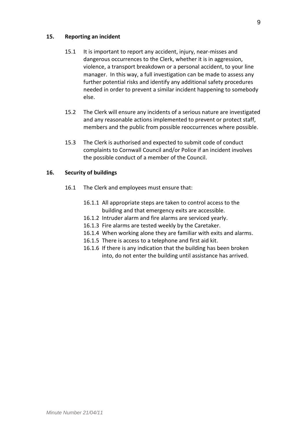# **15. Reporting an incident**

- 15.1 It is important to report any accident, injury, near-misses and dangerous occurrences to the Clerk, whether it is in aggression, violence, a transport breakdown or a personal accident, to your line manager. In this way, a full investigation can be made to assess any further potential risks and identify any additional safety procedures needed in order to prevent a similar incident happening to somebody else.
- 15.2 The Clerk will ensure any incidents of a serious nature are investigated and any reasonable actions implemented to prevent or protect staff, members and the public from possible reoccurrences where possible.
- 15.3 The Clerk is authorised and expected to submit code of conduct complaints to Cornwall Council and/or Police if an incident involves the possible conduct of a member of the Council.

# **16. Security of buildings**

- 16.1 The Clerk and employees must ensure that:
	- 16.1.1 All appropriate steps are taken to control access to the building and that emergency exits are accessible.
	- 16.1.2 Intruder alarm and fire alarms are serviced yearly.
	- 16.1.3 Fire alarms are tested weekly by the Caretaker.
	- 16.1.4 When working alone they are familiar with exits and alarms.
	- 16.1.5 There is access to a telephone and first aid kit.
	- 16.1.6 If there is any indication that the building has been broken into, do not enter the building until assistance has arrived.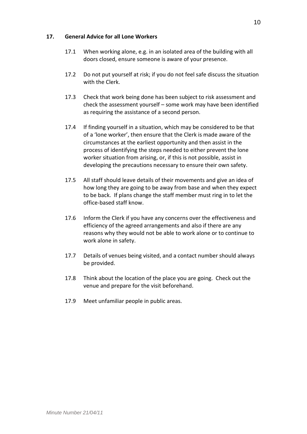# **17. General Advice for all Lone Workers**

- 17.1 When working alone, e.g. in an isolated area of the building with all doors closed, ensure someone is aware of your presence.
- 17.2 Do not put yourself at risk; if you do not feel safe discuss the situation with the Clerk.
- 17.3 Check that work being done has been subject to risk assessment and check the assessment yourself – some work may have been identified as requiring the assistance of a second person.
- 17.4 If finding yourself in a situation, which may be considered to be that of a 'lone worker', then ensure that the Clerk is made aware of the circumstances at the earliest opportunity and then assist in the process of identifying the steps needed to either prevent the lone worker situation from arising, or, if this is not possible, assist in developing the precautions necessary to ensure their own safety.
- 17.5 All staff should leave details of their movements and give an idea of how long they are going to be away from base and when they expect to be back. If plans change the staff member must ring in to let the office-based staff know.
- 17.6 Inform the Clerk if you have any concerns over the effectiveness and efficiency of the agreed arrangements and also if there are any reasons why they would not be able to work alone or to continue to work alone in safety.
- 17.7 Details of venues being visited, and a contact number should always be provided.
- 17.8 Think about the location of the place you are going. Check out the venue and prepare for the visit beforehand.
- 17.9 Meet unfamiliar people in public areas.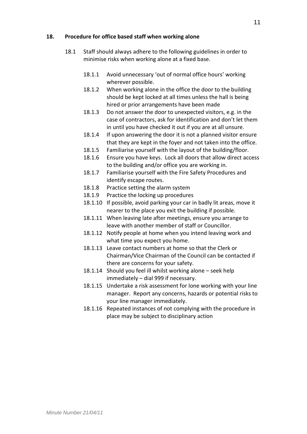# **18. Procedure for office based staff when working alone**

- 18.1 Staff should always adhere to the following guidelines in order to minimise risks when working alone at a fixed base.
	- 18.1.1 Avoid unnecessary 'out of normal office hours' working wherever possible.
	- 18.1.2 When working alone in the office the door to the building should be kept locked at all times unless the hall is being hired or prior arrangements have been made
	- 18.1.3 Do not answer the door to unexpected visitors, e.g. in the case of contractors, ask for identification and don't let them in until you have checked it out if you are at all unsure.
	- 18.1.4 If upon answering the door it is not a planned visitor ensure that they are kept in the foyer and not taken into the office.
	- 18.1.5 Familiarise yourself with the layout of the building/floor.
	- 18.1.6 Ensure you have keys. Lock all doors that allow direct access to the building and/or office you are working in.
	- 18.1.7 Familiarise yourself with the Fire Safety Procedures and identify escape routes.
	- 18.1.8 Practice setting the alarm system
	- 18.1.9 Practice the locking up procedures
	- 18.1.10 If possible, avoid parking your car in badly lit areas, move it nearer to the place you exit the building if possible.
	- 18.1.11 When leaving late after meetings, ensure you arrange to leave with another member of staff or Councillor.
	- 18.1.12 Notify people at home when you intend leaving work and what time you expect you home.
	- 18.1.13 Leave contact numbers at home so that the Clerk or Chairman/Vice Chairman of the Council can be contacted if there are concerns for your safety.
	- 18.1.14 Should you feel ill whilst working alone seek help immediately – dial 999 if necessary.
	- 18.1.15 Undertake a risk assessment for lone working with your line manager. Report any concerns, hazards or potential risks to your line manager immediately.
	- 18.1.16 Repeated instances of not complying with the procedure in place may be subject to disciplinary action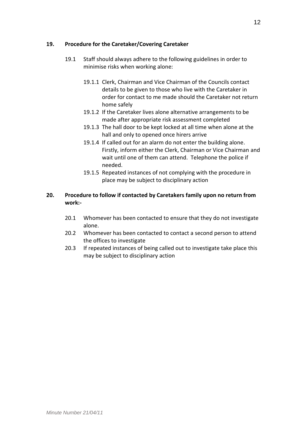# **19. Procedure for the Caretaker/Covering Caretaker**

- 19.1 Staff should always adhere to the following guidelines in order to minimise risks when working alone:
	- 19.1.1 Clerk, Chairman and Vice Chairman of the Councils contact details to be given to those who live with the Caretaker in order for contact to me made should the Caretaker not return home safely
	- 19.1.2 If the Caretaker lives alone alternative arrangements to be made after appropriate risk assessment completed
	- 19.1.3 The hall door to be kept locked at all time when alone at the hall and only to opened once hirers arrive
	- 19.1.4 If called out for an alarm do not enter the building alone. Firstly, inform either the Clerk, Chairman or Vice Chairman and wait until one of them can attend. Telephone the police if needed.
	- 19.1.5 Repeated instances of not complying with the procedure in place may be subject to disciplinary action

# **20. Procedure to follow if contacted by Caretakers family upon no return from work:-**

- 20.1 Whomever has been contacted to ensure that they do not investigate alone.
- 20.2 Whomever has been contacted to contact a second person to attend the offices to investigate
- 20.3 If repeated instances of being called out to investigate take place this may be subject to disciplinary action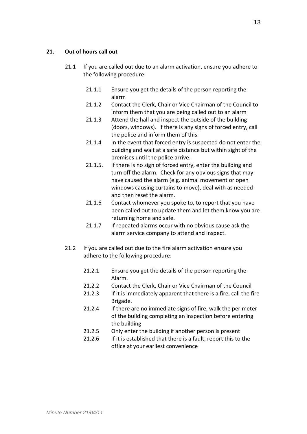# **21. Out of hours call out**

- 21.1 If you are called out due to an alarm activation, ensure you adhere to the following procedure:
	- 21.1.1 Ensure you get the details of the person reporting the alarm
	- 21.1.2 Contact the Clerk, Chair or Vice Chairman of the Council to inform them that you are being called out to an alarm
	- 21.1.3 Attend the hall and inspect the outside of the building (doors, windows). If there is any signs of forced entry, call the police and inform them of this.
	- 21.1.4 In the event that forced entry is suspected do not enter the building and wait at a safe distance but within sight of the premises until the police arrive.
	- 21.1.5. If there is no sign of forced entry, enter the building and turn off the alarm. Check for any obvious signs that may have caused the alarm (e.g. animal movement or open windows causing curtains to move), deal with as needed and then reset the alarm.
	- 21.1.6 Contact whomever you spoke to, to report that you have been called out to update them and let them know you are returning home and safe.
	- 21.1.7 If repeated alarms occur with no obvious cause ask the alarm service company to attend and inspect.
- 21.2 If you are called out due to the fire alarm activation ensure you adhere to the following procedure:
	- 21.2.1 Ensure you get the details of the person reporting the Alarm.
	- 21.2.2 Contact the Clerk, Chair or Vice Chairman of the Council
	- 21.2.3 If it is immediately apparent that there is a fire, call the fire Brigade.
	- 21.2.4 If there are no immediate signs of fire, walk the perimeter of the building completing an inspection before entering the building
	- 21.2.5 Only enter the building if another person is present
	- 21.2.6 If it is established that there is a fault, report this to the office at your earliest convenience